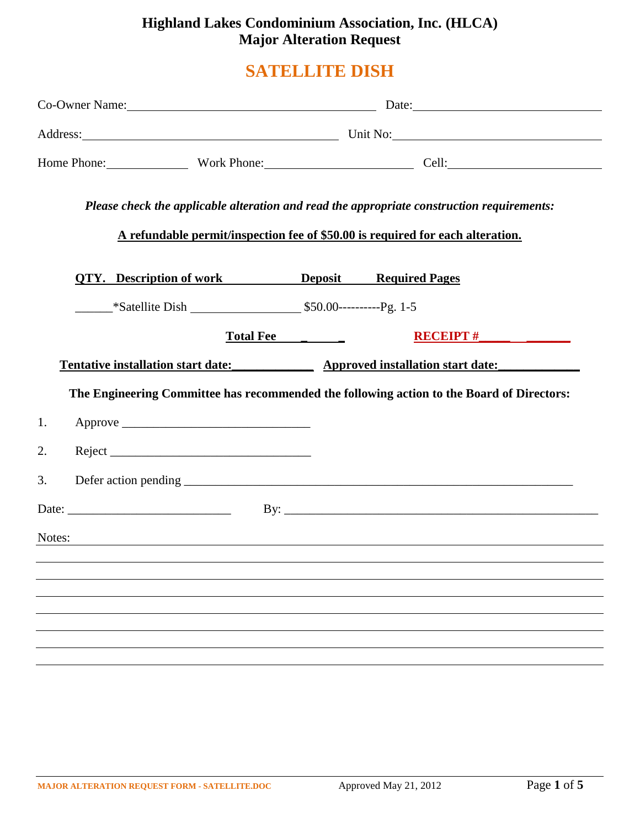# **Highland Lakes Condominium Association, Inc. (HLCA) Major Alteration Request**

# **SATELLITE DISH**

|        | Co-Owner Name: <u>Cooleenside Constantine and Cooleenside Cooleenside Cooleenside Cooleenside Cooleenside Cooleenside Cooleenside Cooleenside Cooleenside Cooleenside Cooleenside Cooleenside Cooleenside Cooleenside Cooleensid</u> |             |  |  |  |  |
|--------|--------------------------------------------------------------------------------------------------------------------------------------------------------------------------------------------------------------------------------------|-------------|--|--|--|--|
|        | Address: Unit No: Unit No:                                                                                                                                                                                                           |             |  |  |  |  |
|        | Home Phone: Work Phone: Cell: Cell:                                                                                                                                                                                                  |             |  |  |  |  |
|        | Please check the applicable alteration and read the appropriate construction requirements:<br>A refundable permit/inspection fee of \$50.00 is required for each alteration.                                                         |             |  |  |  |  |
|        | <b>QTY.</b> Description of work Deposit Required Pages                                                                                                                                                                               |             |  |  |  |  |
|        |                                                                                                                                                                                                                                      |             |  |  |  |  |
|        | Total Fee ________                                                                                                                                                                                                                   | RECEIPT $#$ |  |  |  |  |
|        | Tentative installation start date: Approved installation start date:                                                                                                                                                                 |             |  |  |  |  |
|        | The Engineering Committee has recommended the following action to the Board of Directors:                                                                                                                                            |             |  |  |  |  |
| 1.     |                                                                                                                                                                                                                                      |             |  |  |  |  |
| 2.     |                                                                                                                                                                                                                                      |             |  |  |  |  |
| 3.     |                                                                                                                                                                                                                                      |             |  |  |  |  |
|        | Date: $\frac{1}{2}$ Date:                                                                                                                                                                                                            |             |  |  |  |  |
| Notes: | ,我们也不会有一个人的人,我们也不会有一个人的人,我们也不会有一个人的人,我们也不会有一个人的人。""我们的人,我们也不会有一个人的人,我们也不会有一个人的人,                                                                                                                                                     |             |  |  |  |  |
|        |                                                                                                                                                                                                                                      |             |  |  |  |  |
|        |                                                                                                                                                                                                                                      |             |  |  |  |  |
|        |                                                                                                                                                                                                                                      |             |  |  |  |  |
|        |                                                                                                                                                                                                                                      |             |  |  |  |  |
|        |                                                                                                                                                                                                                                      |             |  |  |  |  |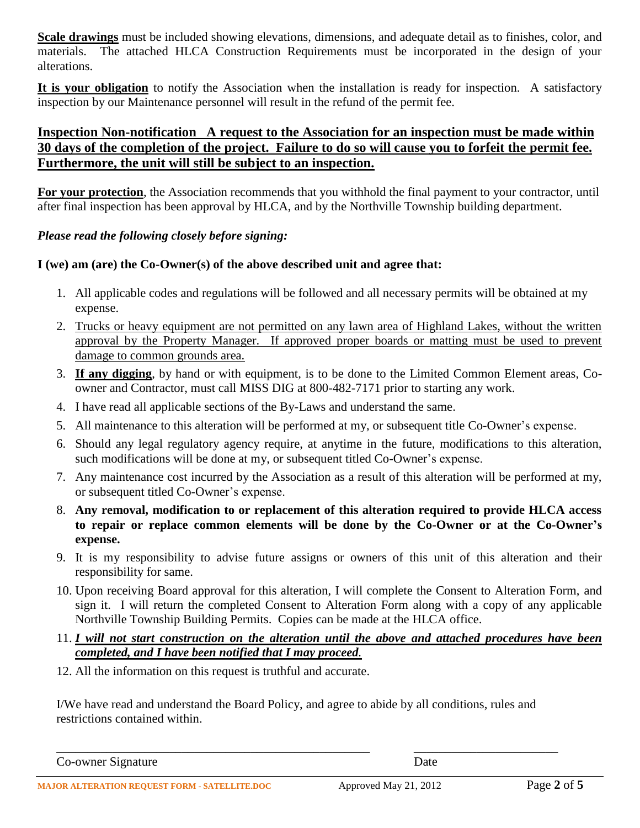**Scale drawings** must be included showing elevations, dimensions, and adequate detail as to finishes, color, and materials. The attached HLCA Construction Requirements must be incorporated in the design of your alterations.

**It is your obligation** to notify the Association when the installation is ready for inspection. A satisfactory inspection by our Maintenance personnel will result in the refund of the permit fee.

### **Inspection Non-notification A request to the Association for an inspection must be made within 30 days of the completion of the project. Failure to do so will cause you to forfeit the permit fee. Furthermore, the unit will still be subject to an inspection.**

**For your protection**, the Association recommends that you withhold the final payment to your contractor, until after final inspection has been approval by HLCA, and by the Northville Township building department.

### *Please read the following closely before signing:*

### **I (we) am (are) the Co-Owner(s) of the above described unit and agree that:**

- 1. All applicable codes and regulations will be followed and all necessary permits will be obtained at my expense.
- 2. Trucks or heavy equipment are not permitted on any lawn area of Highland Lakes, without the written approval by the Property Manager. If approved proper boards or matting must be used to prevent damage to common grounds area.
- 3. **If any digging**, by hand or with equipment, is to be done to the Limited Common Element areas, Coowner and Contractor, must call MISS DIG at 800-482-7171 prior to starting any work.
- 4. I have read all applicable sections of the By-Laws and understand the same.
- 5. All maintenance to this alteration will be performed at my, or subsequent title Co-Owner's expense.
- 6. Should any legal regulatory agency require, at anytime in the future, modifications to this alteration, such modifications will be done at my, or subsequent titled Co-Owner's expense.
- 7. Any maintenance cost incurred by the Association as a result of this alteration will be performed at my, or subsequent titled Co-Owner's expense.
- 8. **Any removal, modification to or replacement of this alteration required to provide HLCA access to repair or replace common elements will be done by the Co-Owner or at the Co-Owner's expense.**
- 9. It is my responsibility to advise future assigns or owners of this unit of this alteration and their responsibility for same.
- 10. Upon receiving Board approval for this alteration, I will complete the Consent to Alteration Form, and sign it. I will return the completed Consent to Alteration Form along with a copy of any applicable Northville Township Building Permits. Copies can be made at the HLCA office.
- 11. *I will not start construction on the alteration until the above and attached procedures have been completed, and I have been notified that I may proceed.*
- 12. All the information on this request is truthful and accurate.

I/We have read and understand the Board Policy, and agree to abide by all conditions, rules and restrictions contained within.

Co-owner Signature Date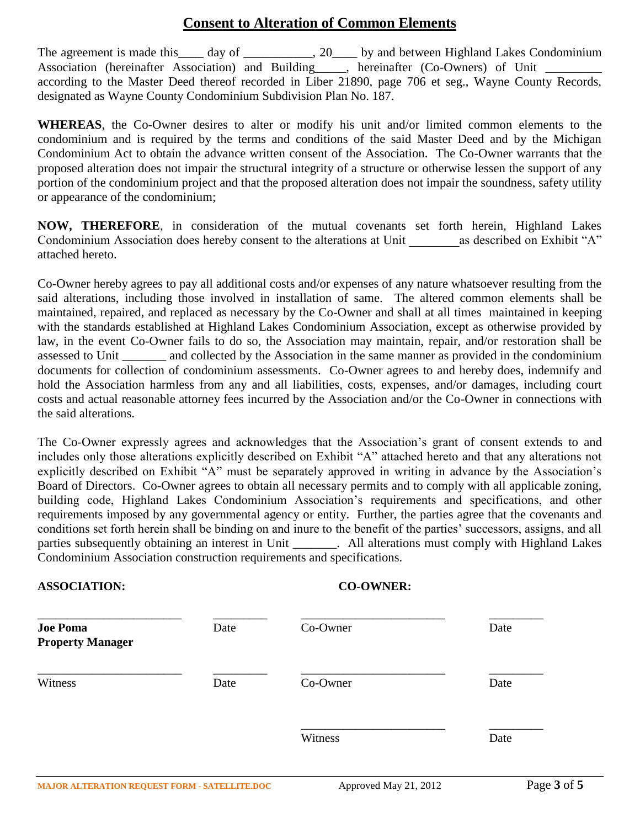### **Consent to Alteration of Common Elements**

The agreement is made this \_\_\_\_ day of \_\_\_\_\_\_\_\_\_, 20\_\_\_\_ by and between Highland Lakes Condominium Association (hereinafter Association) and Building \_\_\_\_, hereinafter (Co-Owners) of Unit \_ according to the Master Deed thereof recorded in Liber 21890, page 706 et seg., Wayne County Records, designated as Wayne County Condominium Subdivision Plan No. 187.

**WHEREAS**, the Co-Owner desires to alter or modify his unit and/or limited common elements to the condominium and is required by the terms and conditions of the said Master Deed and by the Michigan Condominium Act to obtain the advance written consent of the Association. The Co-Owner warrants that the proposed alteration does not impair the structural integrity of a structure or otherwise lessen the support of any portion of the condominium project and that the proposed alteration does not impair the soundness, safety utility or appearance of the condominium;

**NOW, THEREFORE**, in consideration of the mutual covenants set forth herein, Highland Lakes Condominium Association does hereby consent to the alterations at Unit as described on Exhibit "A" attached hereto.

Co-Owner hereby agrees to pay all additional costs and/or expenses of any nature whatsoever resulting from the said alterations, including those involved in installation of same. The altered common elements shall be maintained, repaired, and replaced as necessary by the Co-Owner and shall at all times maintained in keeping with the standards established at Highland Lakes Condominium Association, except as otherwise provided by law, in the event Co-Owner fails to do so, the Association may maintain, repair, and/or restoration shall be assessed to Unit and collected by the Association in the same manner as provided in the condominium documents for collection of condominium assessments. Co-Owner agrees to and hereby does, indemnify and hold the Association harmless from any and all liabilities, costs, expenses, and/or damages, including court costs and actual reasonable attorney fees incurred by the Association and/or the Co-Owner in connections with the said alterations.

The Co-Owner expressly agrees and acknowledges that the Association's grant of consent extends to and includes only those alterations explicitly described on Exhibit "A" attached hereto and that any alterations not explicitly described on Exhibit "A" must be separately approved in writing in advance by the Association's Board of Directors. Co-Owner agrees to obtain all necessary permits and to comply with all applicable zoning, building code, Highland Lakes Condominium Association's requirements and specifications, and other requirements imposed by any governmental agency or entity. Further, the parties agree that the covenants and conditions set forth herein shall be binding on and inure to the benefit of the parties' successors, assigns, and all parties subsequently obtaining an interest in Unit [15]. All alterations must comply with Highland Lakes Condominium Association construction requirements and specifications.

### **ASSOCIATION: CO-OWNER:**

| <b>Joe Poma</b><br><b>Property Manager</b> | Date | Co-Owner | Date |
|--------------------------------------------|------|----------|------|
| Witness                                    | Date | Co-Owner | Date |
|                                            |      | Witness  | Date |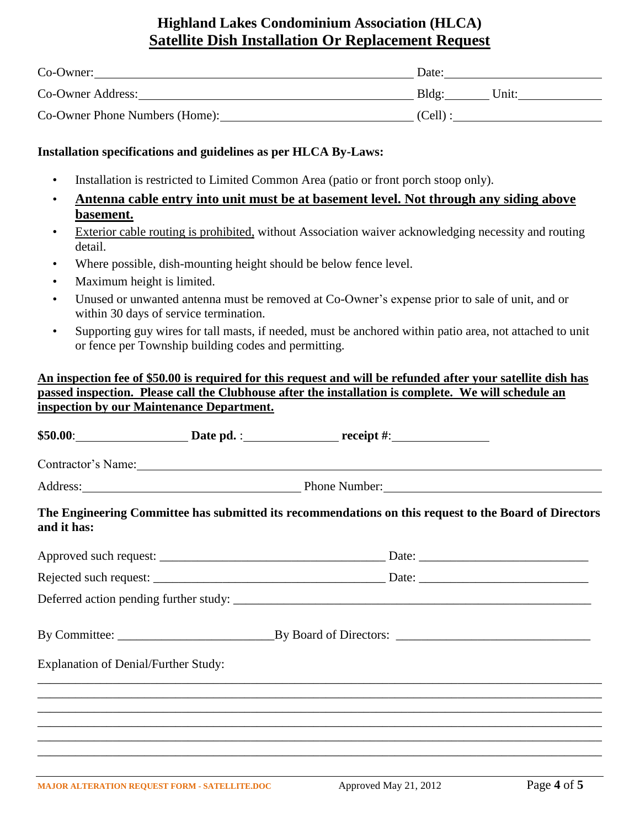## **Highland Lakes Condominium Association (HLCA) Satellite Dish Installation Or Replacement Request**

| Co-Owner:                      | Date:      |       |
|--------------------------------|------------|-------|
| Co-Owner Address:              | Bldg:      | Unit: |
| Co-Owner Phone Numbers (Home): | $(Cell)$ : |       |

### **Installation specifications and guidelines as per HLCA By-Laws:**

- Installation is restricted to Limited Common Area (patio or front porch stoop only).
- **Antenna cable entry into unit must be at basement level. Not through any siding above basement.**
- Exterior cable routing is prohibited, without Association waiver acknowledging necessity and routing detail.
- Where possible, dish-mounting height should be below fence level.
- Maximum height is limited.
- Unused or unwanted antenna must be removed at Co-Owner's expense prior to sale of unit, and or within 30 days of service termination.
- Supporting guy wires for tall masts, if needed, must be anchored within patio area, not attached to unit or fence per Township building codes and permitting.

### **An inspection fee of \$50.00 is required for this request and will be refunded after your satellite dish has passed inspection. Please call the Clubhouse after the installation is complete. We will schedule an inspection by our Maintenance Department.**

|                                             | \$50.00: Date pd. : Date pd. : receipt #:                                                             |
|---------------------------------------------|-------------------------------------------------------------------------------------------------------|
|                                             | Contractor's Name: 1988                                                                               |
|                                             | Address: <u>New York: Phone Number:</u> Phone Number: 2004                                            |
| and it has:                                 | The Engineering Committee has submitted its recommendations on this request to the Board of Directors |
|                                             |                                                                                                       |
|                                             |                                                                                                       |
|                                             |                                                                                                       |
|                                             |                                                                                                       |
| <b>Explanation of Denial/Further Study:</b> |                                                                                                       |
|                                             |                                                                                                       |
|                                             |                                                                                                       |
|                                             |                                                                                                       |
|                                             |                                                                                                       |